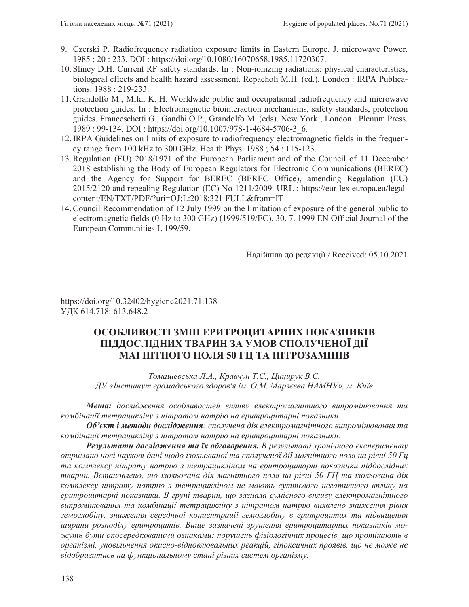- 9. Czerski P. Radiofrequency radiation exposure limits in Eastern Europe. J. microwave Power. 1985 ; 20 : 233. DOI : https://doi.org/10.1080/16070658.1985.11720307.
- 10. Sliney D.H. Current RF safety standards. In : Non-ionizing radiations: physical characteristics, biological effects and health hazard assessment. Repacholi M.H. (ed.). London : IRPA Publications. 1988 : 219-233.
- 11. Grandolfo M., Mild, K. H. Worldwide public and occupational radiofrequency and microwave protection guides. In : Electromagnetic biointeraction mechanisms, safety standards, protection guides. Franceschetti G., Gandhi O.P., Grandolfo M. (eds). New York ; London : Plenum Press. 1989 : 99-134. DOI : https://doi.org/10.1007/978-1-4684-5706-3\_6.
- 12. IRPA Guidelines on limits of exposure to radiofrequency electromagnetic fields in the frequency range from 100 kHz to 300 GHz. Health Phys. 1988 ; 54 : 115-123.
- 13. Regulation (EU) 2018/1971 of the European Parliament and of the Council of 11 December 2018 establishing the Body of European Regulators for Electronic Communications (BEREC) and the Agency for Support for BEREC (BEREC Office), amending Regulation (EU) 2015/2120 and repealing Regulation (EC) No 1211/2009. URL : https://eur-lex.europa.eu/legalcontent/EN/TXT/PDF/?uri=OJ:L:2018:321:FULL&from=IT
- 14. Council Recommendation of 12 July 1999 on the limitation of exposure of the general public to electromagnetic fields (0 Hz to 300 GHz) (1999/519/EC). 30. 7. 1999 EN Official Journal of the European Communities L 199/59.

Надійшла до редакції / Received: 05.10.2021

https://doi.org/10.32402/hygiene2021.71.138 УДК 614.718: 613.648.2

# **ОСОБЛИВОСТІ ЗМІН ЕРИТРОЦИТАРНИХ ПОКАЗНИКІВ ɉȱȾȾɈɋɅȱȾɇɂɏɌȼȺɊɂɇɁȺɍɆɈȼɋɉɈɅɍɑȿɇɈȲȾȱȲ** МАГНІТНОГО ПОЛЯ 50 ГЦ ТА НІТРОЗАМІНІВ

*Томашевська Л.А., Кравчун Т.С., Цицирук В.С.*  $\bar{A}W$ «Інститут громадського здоров'я ім. О.М. Марзєєва НАМНУ», м. Київ

Мета: дослідження особливостей впливу електромагнітного випромінювання та комбінації тетрацикліну з нітратом натрію на еритроцитарні показники.

**Об'єкт і методи дослідження**: сполучена дія електромагнітного випромінювання та комбінації тетрацикліну з нітратом натрію на еритроцитарні показники.

**Результати дослідження та їх обговорення.** В результаті хронічного експерименту  $\delta$ *итримано нові наукові дані щодо ізольованої та сполученої дії магнітного поля на рівні 50 Гц* та комплексу нітрату натрію з тетрацикліном на еритроцитарні показники піддослідних тварин. Встановлено, що *ізольована дія магнітного поля на рівні 50 ГЦ та ізольована дія* комплексу нітрату натрію з тетрацикліном не мають суттєвого негативного впливу на еритроцитарні показники. В групі тварин, що зазнала сумісного впливу електромагнітного випромінювання та комбінації тетрацикліну з нітратом натрію виявлено зниження рівня гемоглобіну, зниження середньої концентрації гемоглобіну в еритроцитах та підвищення ишрини розподілу еритроцитів. Вище зазначені зрушення еритроцитарних показників можуть бути опосередкованими ознаками: порушень фізіологічних процесів, що протікають в *організмі, уповільнення окисно-відновлювальних реакцій, гіпоксичних проявів, що не може не* відобразитись на функціональному стані різних систем організму.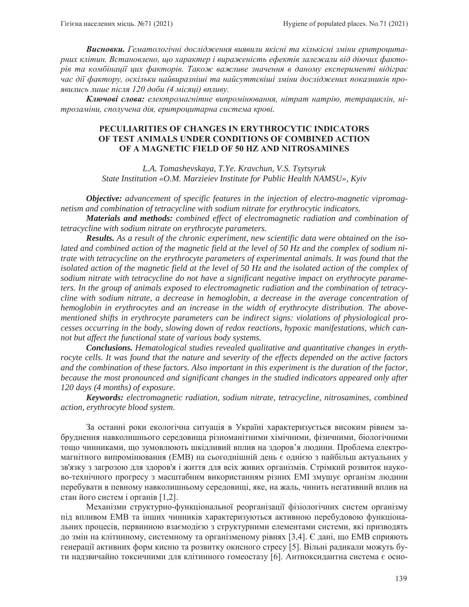**Висновки.** Гематологічні дослідження виявили якісні та кількісні зміни еритроцитарних клітин. Встановлено, що характер і вираженість ефектів залежали від діючих факторів та комбінації цих факторів. Також важливе значення в даному експерименті відіграє час дії фактору, оскільки найвиразніші та найсуттєвіші зміни досліджених показників проявились лише після 120 доби (4 місяці) впливу.

**Ключові слова:** електромагнітне випромінювання, нітрат натрію, тетрациклін, нітрозаміни, сполучена дія, еритроцитарна система крові.

## **PECULIARITIES OF CHANGES IN ERYTHROCYTIC INDICATORS OF TEST ANIMALS UNDER CONDITIONS OF COMBINED ACTION OF A MAGNETIC FIELD OF 50 HZ AND NITROSAMINES**

*L.A. Tomashevskaya, T.Ye. Kravchun, V.S. Tsytsyruk State Institution «O.M. Marzieiev Institute for Public Health NAMSU», Kyiv*

*Objective: advancement of specific features in the injection of electro-magnetic vipromagnetism and combination of tetracycline with sodium nitrate for erythrocytic indicators.* 

*Materials and methods: combined effect of electromagnetic radiation and combination of tetracycline with sodium nitrate on erythrocyte parameters.* 

*Results. As a result of the chronic experiment, new scientific data were obtained on the isolated and combined action of the magnetic field at the level of 50 Hz and the complex of sodium nitrate with tetracycline on the erythrocyte parameters of experimental animals. It was found that the isolated action of the magnetic field at the level of 50 Hz and the isolated action of the complex of sodium nitrate with tetracycline do not have a significant negative impact on erythrocyte parameters. In the group of animals exposed to electromagnetic radiation and the combination of tetracycline with sodium nitrate, a decrease in hemoglobin, a decrease in the average concentration of hemoglobin in erythrocytes and an increase in the width of erythrocyte distribution. The abovementioned shifts in erythrocyte parameters can be indirect signs: violations of physiological processes occurring in the body, slowing down of redox reactions, hypoxic manifestations, which cannot but affect the functional state of various body systems.* 

*Conclusions. Hematological studies revealed qualitative and quantitative changes in erythrocyte cells. It was found that the nature and severity of the effects depended on the active factors and the combination of these factors. Also important in this experiment is the duration of the factor, because the most pronounced and significant changes in the studied indicators appeared only after 120 days (4 months) of exposure.* 

*Keywords: electromagnetic radiation, sodium nitrate, tetracycline, nitrosamines, combined action, erythrocyte blood system.* 

За останні роки екологічна ситуація в Україні характеризується високим рівнем забруднення навколишнього середовища різноманітними хімічними, фізичними, біологічними тощо чинниками, що зумовлюють шкідливий вплив на здоров'я людини. Проблема електромагнітного випромінювання (ЕМВ) на сьогоднішній день є однією з найбільш актуальних у зв'язку з загрозою для здоров'я і життя для всіх живих організмів. Стрімкий розвиток науково-технічного прогресу з масштабним використанням різних ЕМІ змушує організм людини перебувати в певному навколишньому середовищі, яке, на жаль, чинить негативний вплив на стан його систем і органів [1,2].

Механізми структурно-функціональної реорганізації фізіологічних систем організму під впливом ЕМВ та інших чинників характеризуються активною перебудовою функціональних процесів, первинною взаємодією з структурними елементами системи, які призводять до змін на клітинному, системному та організменому рівнях [3,4]. Є дані, що ЕМВ сприяють генерації активних форм кисню та розвитку окисного стресу [5]. Вільні радикали можуть бути надзвичайно токсичними для клітинного гомеостазу [6]. Антиоксидантна система є осно-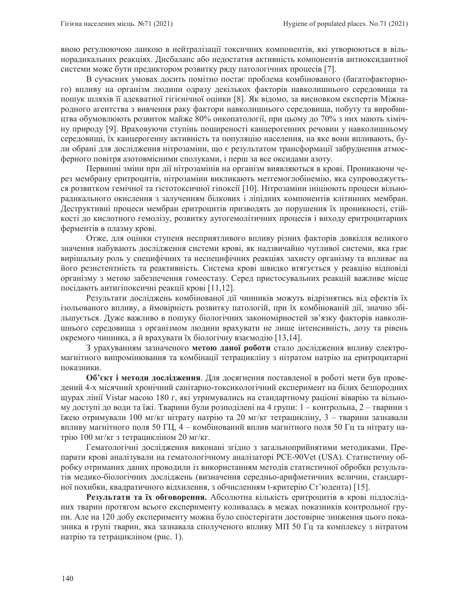вною регулюючою ланкою в нейтралізації токсичних компонентів, які утворюються в вільнорадикальних реакціях. Дисбаланс або недостатня активність компонентів антиоксидантної системи може бути предиктором розвитку ряду патологічних процесів [7].

В сучасних умовах досить помітно постає проблема комбінованого (багатофакторного) впливу на організм людини одразу декількох факторів навколишнього середовища та пошук шляхів її адекватної гігієнічної оцінки [8]. Як відомо, за висновком експертів Міжнародного агентства з вивчення раку фактори навколишнього середовища, побуту та виробництва обумовлюють розвиток майже 80% онкопатології, при цьому до 70% з них мають хімічну природу [9]. Враховуючи ступінь поширеності канцерогенних речовин у навколишньому середовищі, їх канцерогенну активність та популяцію населення, на яке вони впливають, були обрані для дослідження нітрозаміни, що є результатом трансформації забруднення атмосферного повітря азотовмісними сполуками, і перш за все оксидами азоту.

Первинні зміни при дії нітрозамінів на організм виявляються в крові. Проникаючи через мембрану еритроцитів, нітрозаміни викликають метгемоглобінемію, яка супроводжується розвитком гемічної та гістотоксичної гіпоксії [10]. Нітрозаміни ініціюють процеси вільнорадикального окислення з залученням білкових і ліпідних компонентів клітинних мембран. Деструктивні процеси мембран еритроцитів призводять до порушення їх проникності, стійкості до кислотного гемолізу, розвитку аутогемолітичних процесів і виходу еритроцитарних ферментів в плазму крові.

Отже, для оцінки ступеня несприятливого впливу різних факторів довкілля великого значення набувають дослідження системи крові, як надзвичайно чутливої системи, яка грає вирішальну роль у специфічних та неспецифічних реакціях захисту організму та впливає на його резистентність та реактивність. Система крові швидко втягується у реакцію відповіді організму з метою забезпечення гомеостазу. Серед пристосувальних реакцій важливе місце посідають антигіпоксичні реакції крові [11,12].

Результати досліджень комбінованої дії чинників можуть відрізнятись від ефектів їх ізольованого впливу, а ймовірність розвитку патологій, при їх комбінованій дії, значно збільшується. Дуже важливо в пошуку біологічних закономірностей зв'язку факторів навколишнього середовища з організмом людини врахувати не лише інтенсивність, дозу та рівень окремого чинника, а й врахувати їх біологічну взаємодію [13,14].

З урахуванням зазначеного метою даної роботи стало дослідження впливу електромагнітного випромінювання та комбінації тетрацикліну з нітратом натрію на еритроцитарні показники.

Об'єкт і методи дослідження. Для досягнення поставленої в роботі мети був проведений 4-х місячний хронічний санітарно-токсикологічний експеримент на білих безпородних щурах лінії Vistar масою 180 г, які утримувались на стандартному раціоні віварію та вільному доступі до води та їжі. Тварини були розподілені на 4 групи: 1 – контрольна, 2 – тварини з їжею отримували 100 мг/кг нітрату натрію та 20 мг/кг тетрацикліну, 3 – тварини зазнавали впливу магнітного поля 50 ГЦ, 4 – комбінований вплив магнітного поля 50 Гц та нітрату натрію 100 мг/кг з тетрацикліном 20 мг/кг.

Гематологічні дослідження виконані згідно з загальноприйнятими методиками. Препарати крові аналізували на гематологічному аналізаторі PCE-90Vet (USA). Статистичну обробку отриманих даних проводили із використанням методів статистичної обробки результатів медико-біологічних досліджень (визначення середньо-арифметичних величин, стандартної похибки, квадратичного відхилення, з обчисленням t-критерію Ст'юдента) [15].

Результати та їх обговорення. Абсолютна кількість еритроцитів в крові піддослідних тварин протягом всього експерименту коливалась в межах показників контрольної групи. Але на 120 добу експерименту можна було спостерігати достовірне зниження цього показника в групі тварин, яка зазнавала сполученого впливу МП 50 Гц та комплексу з нітратом натрію та тетрацикліном (рис. 1).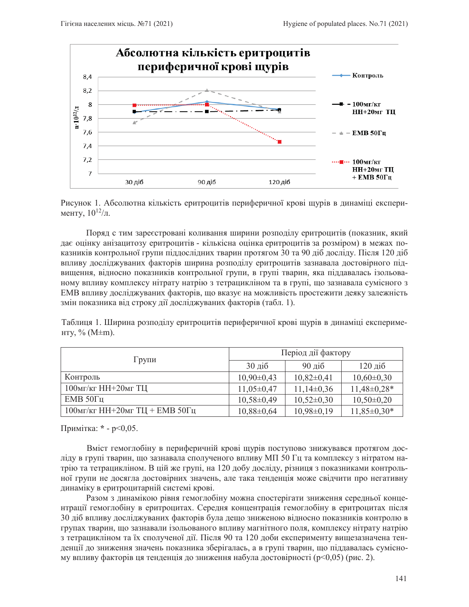

Рисунок 1. Абсолютна кількість еритроцитів периферичної крові щурів в динаміці експерименту,  $10^{12}/\pi$ .

Поряд с тим зареєстровані коливання ширини розподілу еритроцитів (показник, який дає оцінку анізацитозу еритроцитів - кількісна оцінка еритроцитів за розміром) в межах показників контрольної групи піддослідних тварин протягом 30 та 90 діб досліду. Після 120 діб впливу досліджуваних факторів ширина розподілу еритроцитів зазнавала достовірного підвищення, відносно показників контрольної групи, в групі тварин, яка піддавалась ізольованому впливу комплексу нітрату натрію з тетрацикліном та в групі, що зазнавала сумісного з ЕМВ впливу досліджуваних факторів, що вказує на можливість простежити деяку залежність змін показника від строку дії досліджуваних факторів (табл. 1).

Таблиця 1. Ширина розподілу еритроцитів периферичної крові щурів в динаміці експерименту, % (М $\pm$ m).

| $\Gamma$ рупи                     | Період дії фактору |                             |                   |
|-----------------------------------|--------------------|-----------------------------|-------------------|
|                                   | $30 \pi i$         | $90 \overline{\mathrm{ii}}$ | $120 \mu$ іб      |
| Контроль                          | $10,90\pm0,43$     | $10,82\pm0,41$              | $10,60\pm0,30$    |
| $100$ MT/KT HH $+20$ MT TII       | $11,05\pm0,47$     | $11,14\pm0,36$              | $11,48\pm0,28*$   |
| $EMB$ 50 $\Gamma$ <sub>II</sub>   | $10,58\pm0,49$     | $10,52\pm0,30$              | $10,50\pm0,20$    |
| $100$ мг/кг НН+20мг ТЦ + ЕМВ 50Гц | $10,88 \pm 0,64$   | $10,98\pm0,19$              | $11,85 \pm 0,30*$ |

Примітка: \* - p<0,05.

Вміст гемоглобіну в периферичній крові щурів поступово знижувався протягом досліду в групі тварин, що зазнавала сполученого впливу МП 50 Гц та комплексу з нітратом натрію та тетрацикліном. В цій же групі, на 120 добу досліду, різниця з показниками контрольної групи не досягла достовірних значень, але така тенденція може свідчити про негативну динаміку в еритроцитарній системі крові.

Разом з динамікою рівня гемоглобіну можна спостерігати зниження середньої концентрації гемоглобіну в еритроцитах. Середня концентрація гемоглобіну в еритроцитах після 30 діб впливу досліджуваних факторів була дещо зниженою відносно показників контролю в групах тварин, що зазнавали ізольованого впливу магнітного поля, комплексу нітрату натрію з тетрацикліном та їх сполученої дії. Після 90 та 120 доби експерименту вищезазначена тенденції до зниження значень показника зберігалась, а в групі тварин, що піддавалась сумісному впливу факторів ця тенденція до зниження набула достовірності (р<0,05) (рис. 2).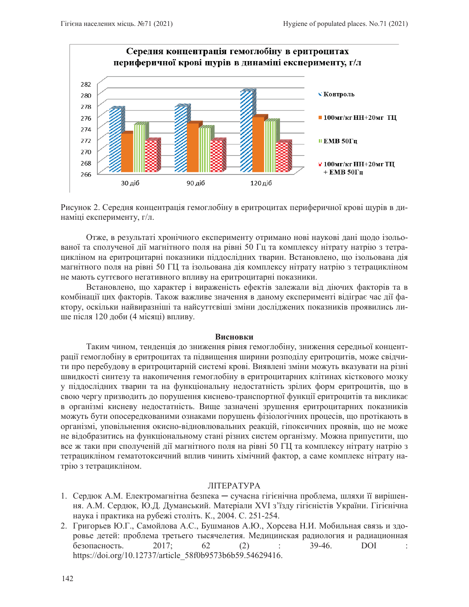

Рисунок 2. Середня концентрація гемоглобіну в еритроцитах периферичної крові щурів в динаміці експерименту, г/л.

Отже, в результаті хронічного експерименту отримано нові наукові дані щодо ізольованої та сполученої дії магнітного поля на рівні 50 Гц та комплексу нітрату натрію з тетрацикліном на еритроцитарні показники піддослідних тварин. Встановлено, що ізольована дія магнітного поля на рівні 50 ГЦ та ізольована дія комплексу нітрату натрію з тетрацикліном не мають суттєвого негативного впливу на еритроцитарні показники.

Встановлено, що характер і вираженість ефектів залежали від діючих факторів та в комбінації цих факторів. Також важливе значення в даному експерименті відіграє час дії фактору, оскільки найвиразніші та найсуттєвіші зміни досліджених показників проявились лише після 120 доби (4 місяці) впливу.

#### **Висновки**

Таким чином, тенденція до зниження рівня гемоглобіну, зниження середньої концентрації гемоглобіну в еритроцитах та підвищення ширини розподілу еритроцитів, може свідчити про перебудову в еритроцитарній системі крові. Виявлені зміни можуть вказувати на різні швидкості синтезу та накопичення гемоглобіну в еритроцитарних клітинах кісткового мозку у піддослідних тварин та на функціональну недостатність зрілих форм еритроцитів, що в свою чергу призводить до порушення киснево-транспортної функції еритроцитів та викликає в організмі кисневу недостатність. Вище зазначені зрушення еритроцитарних показників можуть бути опосередкованими ознаками порушень фізіологічних процесів, що протікають в організмі, уповільнення окисно-відновлювальних реакцій, гіпоксичних проявів, що не може не відобразитись на функціональному стані різних систем організму. Можна припустити, що все ж таки при сполученій дії магнітного поля на рівні 50 ГЦ та комплексу нітрату натрію з тетрацикліном гематотоксичний вплив чинить хімічний фактор, а саме комплекс нітрату натрію з тетрацикліном.

## **ЛІТЕРАТУРА**

- 1. Сердюк А.М. Електромагнітна безпека сучасна гігієнічна проблема, шляхи її вирішення. А.М. Сердюк, Ю.Д. Думанський. Матеріали XVI з'їзду гігієністів України. Гігієнічна наука і практика на рубежі століть. К., 2004. С. 251-254.
- 2. Григорьев Ю.Г., Самойлова А.С., Бушманов А.Ю., Хорсева Н.И. Мобильная связь и здоровье детей: проблема третьего тысячелетия. Медицинская радиология и радиационная  $6$ езопасность. 2017; 62 (2) : 39-46. DOI : https://doi.org/10.12737/article\_58f0b9573b6b59.54629416.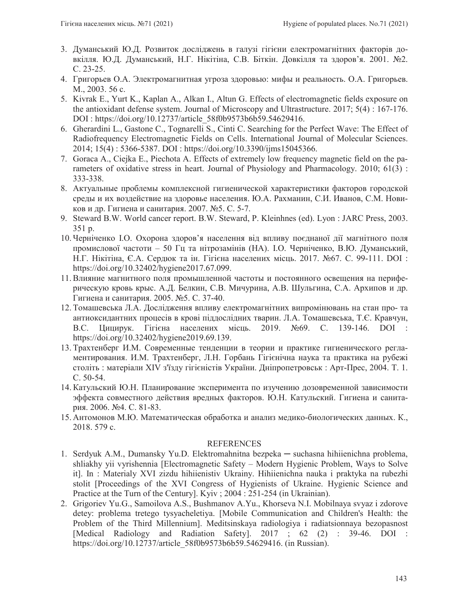- 3. Думанський Ю.Д. Розвиток досліджень в галузі гігієни електромагнітних факторів довкілля. Ю.Д. Думанський, Н.Г. Нікітіна, С.В. Біткін. Довкілля та здоров'я. 2001. №2. C. 23-25.
- 4. Григорьев О.А. Электромагнитная угроза здоровью: мифы и реальность. О.А. Григорьев.  $M_{\cdot}$ , 2003. 56 c.
- 5. Kivrak E., Yurt K., Kaplan A., Alkan I., Altun G. Effects of electromagnetic fields exposure on the antioxidant defense system. Journal of Microscopy and Ultrastructure. 2017; 5(4) : 167-176. DOI : https://doi.org/10.12737/article\_58f0b9573b6b59.54629416.
- 6. Gherardini L., Gastone C., Tognarelli S., Cinti C. Searching for the Perfect Wave: The Effect of Radiofrequency Electromagnetic Fields on Cells. International Journal of Molecular Sciences. 2014; 15(4) : 5366-5387. DOI : https://doi.org/10.3390/ijms15045366.
- 7. Goraca A., Ciejka E., Piechota A. Effects of extremely low frequency magnetic field on the parameters of oxidative stress in heart. Journal of Physiology and Pharmacology. 2010; 61(3) : 333-338.
- 8. Актуальные проблемы комплексной гигиенической характеристики факторов городской среды и их воздействие на здоровье населения. Ю.А. Рахманин, С.И. Иванов, С.М. Новиков и др. Гигиена и санитария. 2007. №5. С. 5-7.
- 9. Steward B.W. World cancer report. B.W. Steward, P. Kleinhnes (ed). Lyon : JARC Press, 2003. 351 p.
- 10. Черніченко І.О. Охорона здоров'я населення від впливу поєднаної дії магнітного поля промислової частоти – 50 Гц та нітрозамінів (НА). І.О. Черніченко, В.Ю. Думанський, Н.Г. Нікітіна, Є.А. Сердюк та ін. Гігієна населених місць. 2017. №67. С. 99-111. DOI : https://doi.org/10.32402/hygiene2017.67.099.
- 11. Влияние магнитного поля промышленной частоты и постоянного освещения на периферическую кровь крыс. А.Д. Белкин, С.В. Мичурина, А.В. Шульгина, С.А. Архипов и др. Гигиена и санитария. 2005. №5. С. 37-40.
- 12. Томашевська Л.А. Дослідження впливу електромагнітних випромінювань на стан про- та антиоксидантних процесів в крові піддослідних тварин. Л.А. Томашевська, Т.Є. Кравчун, В.С. Цицирук. Гітієна населених місць. 2019. №69. С. 139-146. DOI : https://doi.org/10.32402/hygiene2019.69.139.
- 13. Трахтенберг И.М. Современные тенденции в теории и практике гигиенического регламентирования. И.М. Трахтенберг, Л.Н. Горбань Гігієнічна наука та практика на рубежі століть: матеріали XIV з'їзду гігієністів України. Дніпропетровськ: Арт-Прес, 2004. Т. 1. C. 50-54.
- 14. Катульский Ю.Н. Планирование эксперимента по изучению дозовременной зависимости эффекта совместного действия вредных факторов. Ю.Н. Катульский. Гигиена и санитария. 2006. №4. С. 81-83.
- 15. Антомонов М.Ю. Математическая обработка и анализ медико-биологических данных. К., 2018. 579 c.

# REFERENCES

- 1. Serdyuk A.M., Dumansky Yu.D. Elektromahnitna bezpeka suchasna hihiienichna problema, shliakhy yii vyrishennia [Electromagnetic Safety – Modern Hygienic Problem, Ways to Solve it]. In : Materialy XVI zizdu hihiienistiv Ukrainy. Hihiienichna nauka i praktyka na rubezhi stolit [Proceedings of the XVI Congress of Hygienists of Ukraine. Hygienic Science and Practice at the Turn of the Century]. Kyiv ; 2004 : 251-254 (in Ukrainian).
- 2. Grigoriev Yu.G., Samoilova A.S., Bushmanov A.Yu., Khorseva N.I. Mobilnaya svyaz i zdorove detey: problema tretego tysyacheletiya. [Mobile Communication and Children's Health: the Problem of the Third Millennium]. Meditsinskaya radiologiya i radiatsionnaya bezopasnost [Medical Radiology and Radiation Safety]. 2017 ; 62 (2) : 39-46. DOI : https://doi.org/10.12737/article\_58f0b9573b6b59.54629416. (in Russian).